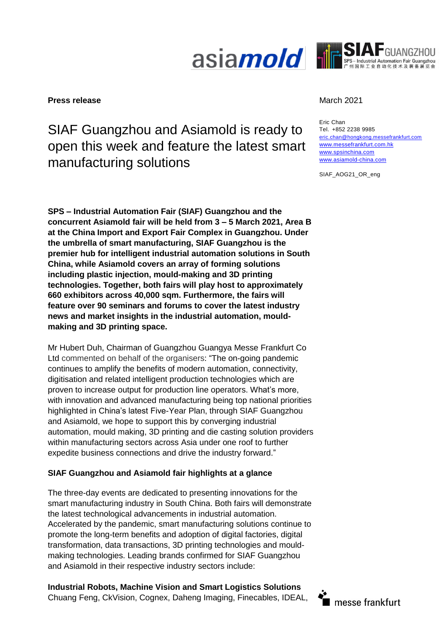



#### **Press release** March 2021 **March 2021**

# SIAF Guangzhou and Asiamold is ready to open this week and feature the latest smart manufacturing solutions

**SPS – Industrial Automation Fair (SIAF) Guangzhou and the concurrent Asiamold fair will be held from 3 – 5 March 2021, Area B at the China Import and Export Fair Complex in Guangzhou. Under the umbrella of smart manufacturing, SIAF Guangzhou is the premier hub for intelligent industrial automation solutions in South China, while Asiamold covers an array of forming solutions including plastic injection, mould-making and 3D printing technologies. Together, both fairs will play host to approximately 660 exhibitors across 40,000 sqm. Furthermore, the fairs will feature over 90 seminars and forums to cover the latest industry news and market insights in the industrial automation, mouldmaking and 3D printing space.**

Mr Hubert Duh, Chairman of Guangzhou Guangya Messe Frankfurt Co Ltd commented on behalf of the organisers: "The on-going pandemic continues to amplify the benefits of modern automation, connectivity, digitisation and related intelligent production technologies which are proven to increase output for production line operators. What's more, with innovation and advanced manufacturing being top national priorities highlighted in China's latest Five-Year Plan, through SIAF Guangzhou and Asiamold, we hope to support this by converging industrial automation, mould making, 3D printing and die casting solution providers within manufacturing sectors across Asia under one roof to further expedite business connections and drive the industry forward."

# **SIAF Guangzhou and Asiamold fair highlights at a glance**

The three-day events are dedicated to presenting innovations for the smart manufacturing industry in South China. Both fairs will demonstrate the latest technological advancements in industrial automation. Accelerated by the pandemic, smart manufacturing solutions continue to promote the long-term benefits and adoption of digital factories, digital transformation, data transactions, 3D printing technologies and mouldmaking technologies. Leading brands confirmed for SIAF Guangzhou and Asiamold in their respective industry sectors include:

**Industrial Robots, Machine Vision and Smart Logistics Solutions** Chuang Feng, CkVision, Cognex, Daheng Imaging, Finecables, IDEAL,

Eric Chan Tel. +852 2238 9985 [eric.chan@hongkong.messefrankfurt.com](mailto:eric.chan@hongkong.messefrankfurt.com) [www.messefrankfurt.com.hk](http://www.messefrankfurt.com.hk/) [www.spsinchina.com](http://www.spsinchina.com/) [www.asiamold-china.com](http://www.asiamold-china.com/)

SIAF\_AOG21\_OR\_eng

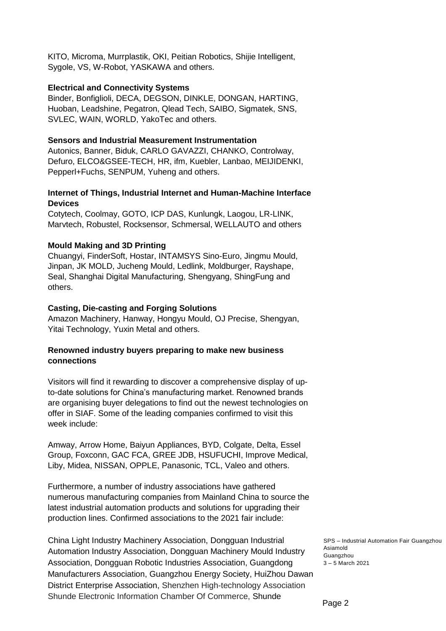KITO, Microma, Murrplastik, OKI, Peitian Robotics, Shijie Intelligent, Sygole, VS, W-Robot, YASKAWA and others.

#### **Electrical and Connectivity Systems**

Binder, Bonfiglioli, DECA, DEGSON, DINKLE, DONGAN, HARTING, Huoban, Leadshine, Pegatron, Qlead Tech, SAIBO, Sigmatek, SNS, SVLEC, WAIN, WORLD, YakoTec and others.

#### **Sensors and Industrial Measurement Instrumentation**

Autonics, Banner, Biduk, CARLO GAVAZZI, CHANKO, Controlway, Defuro, ELCO&GSEE-TECH, HR, ifm, Kuebler, Lanbao, MEIJIDENKI, Pepperl+Fuchs, SENPUM, Yuheng and others.

# **Internet of Things, Industrial Internet and Human-Machine Interface Devices**

Cotytech, Coolmay, GOTO, ICP DAS, Kunlungk, Laogou, LR-LINK, Marvtech, Robustel, Rocksensor, Schmersal, WELLAUTO and others

# **Mould Making and 3D Printing**

Chuangyi, FinderSoft, Hostar, INTAMSYS Sino-Euro, Jingmu Mould, Jinpan, JK MOLD, Jucheng Mould, Ledlink, Moldburger, Rayshape, Seal, Shanghai Digital Manufacturing, Shengyang, ShingFung and others.

# **Casting, Die-casting and Forging Solutions**

Amazon Machinery, Hanway, Hongyu Mould, OJ Precise, Shengyan, Yitai Technology, Yuxin Metal and others.

# **Renowned industry buyers preparing to make new business connections**

Visitors will find it rewarding to discover a comprehensive display of upto-date solutions for China's manufacturing market. Renowned brands are organising buyer delegations to find out the newest technologies on offer in SIAF. Some of the leading companies confirmed to visit this week include:

Amway, Arrow Home, Baiyun Appliances, BYD, Colgate, Delta, Essel Group, Foxconn, GAC FCA, GREE JDB, HSUFUCHI, Improve Medical, Liby, Midea, NISSAN, OPPLE, Panasonic, TCL, Valeo and others.

Furthermore, a number of industry associations have gathered numerous manufacturing companies from Mainland China to source the latest industrial automation products and solutions for upgrading their production lines. Confirmed associations to the 2021 fair include:

China Light Industry Machinery Association, Dongguan Industrial Automation Industry Association, Dongguan Machinery Mould Industry Association, Dongguan Robotic Industries Association, Guangdong Manufacturers Association, Guangzhou Energy Society, HuiZhou Dawan District Enterprise Association, Shenzhen High-technology Association Shunde Electronic Information Chamber Of Commerce, Shunde

SPS – Industrial Automation Fair Guangzhou Asiamold Guangzhou 3 – 5 March 2021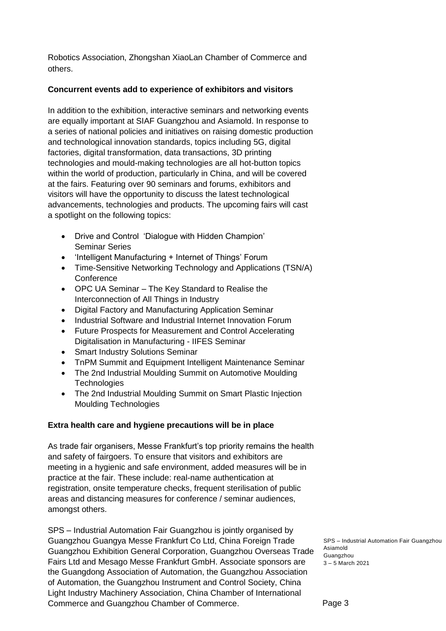Robotics Association, Zhongshan XiaoLan Chamber of Commerce and others.

# **Concurrent events add to experience of exhibitors and visitors**

In addition to the exhibition, interactive seminars and networking events are equally important at SIAF Guangzhou and Asiamold. In response to a series of national policies and initiatives on raising domestic production and technological innovation standards, topics including 5G, digital factories, digital transformation, data transactions, 3D printing technologies and mould-making technologies are all hot-button topics within the world of production, particularly in China, and will be covered at the fairs. Featuring over 90 seminars and forums, exhibitors and visitors will have the opportunity to discuss the latest technological advancements, technologies and products. The upcoming fairs will cast a spotlight on the following topics:

- Drive and Control 'Dialogue with Hidden Champion' Seminar Series
- 'Intelligent Manufacturing + Internet of Things' Forum
- Time-Sensitive Networking Technology and Applications (TSN/A) **Conference**
- OPC UA Seminar The Key Standard to Realise the Interconnection of All Things in Industry
- Digital Factory and Manufacturing Application Seminar
- Industrial Software and Industrial Internet Innovation Forum
- Future Prospects for Measurement and Control Accelerating Digitalisation in Manufacturing - IIFES Seminar
- Smart Industry Solutions Seminar
- TnPM Summit and Equipment Intelligent Maintenance Seminar
- The 2nd Industrial Moulding Summit on Automotive Moulding **Technologies**
- The 2nd Industrial Moulding Summit on Smart Plastic Injection Moulding Technologies

# **Extra health care and hygiene precautions will be in place**

As trade fair organisers, Messe Frankfurt's top priority remains the health and safety of fairgoers. To ensure that visitors and exhibitors are meeting in a hygienic and safe environment, added measures will be in practice at the fair. These include: real-name authentication at registration, onsite temperature checks, frequent sterilisation of public areas and distancing measures for conference / seminar audiences, amongst others.

SPS – Industrial Automation Fair Guangzhou is jointly organised by Guangzhou Guangya Messe Frankfurt Co Ltd, China Foreign Trade Guangzhou Exhibition General Corporation, Guangzhou Overseas Trade Fairs Ltd and Mesago Messe Frankfurt GmbH. Associate sponsors are the Guangdong Association of Automation, the Guangzhou Association of Automation, the Guangzhou Instrument and Control Society, China Light Industry Machinery Association, China Chamber of International Commerce and Guangzhou Chamber of Commerce.

SPS – Industrial Automation Fair Guangzhou Asiamold Guangzhou 3 – 5 March 2021